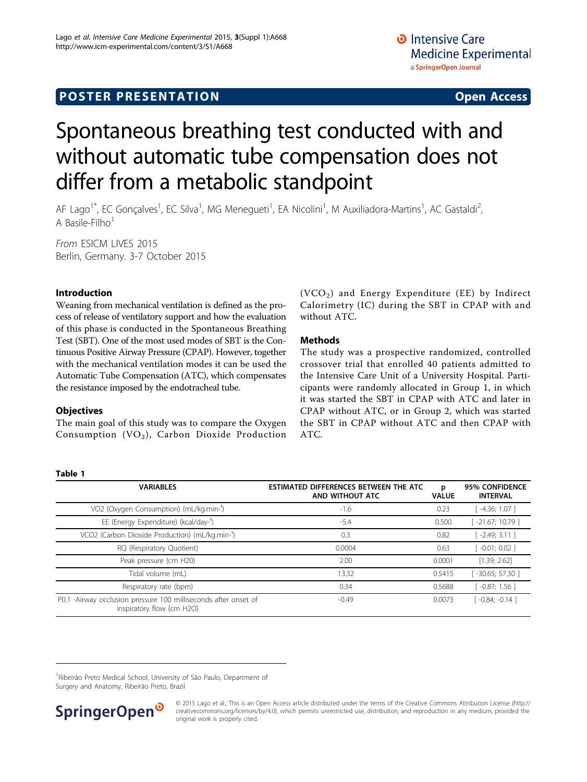# <span id="page-0-0"></span>**POSTER PRESENTATION CONSUMING ACCESS**

# Spontaneous breathing test conducted with and without automatic tube compensation does not differ from a metabolic standpoint

AF Lago<sup>1\*</sup>, EC Gonçalves<sup>1</sup>, EC Silva<sup>1</sup>, MG Menegueti<sup>1</sup>, EA Nicolini<sup>1</sup>, M Auxiliadora-Martins<sup>1</sup>, AC Gastaldi<sup>2</sup> , A Basile-Filho $<sup>1</sup>$ </sup>

From ESICM LIVES 2015 Berlin, Germany. 3-7 October 2015

## Introduction

Weaning from mechanical ventilation is defined as the process of release of ventilatory support and how the evaluation of this phase is conducted in the Spontaneous Breathing Test (SBT). One of the most used modes of SBT is the Continuous Positive Airway Pressure (CPAP). However, together with the mechanical ventilation modes it can be used the Automatic Tube Compensation (ATC), which compensates the resistance imposed by the endotracheal tube.

## **Objectives**

Table 1

The main goal of this study was to compare the Oxygen Consumption  $(VO_2)$ , Carbon Dioxide Production  $(VCO<sub>2</sub>)$  and Energy Expenditure (EE) by Indirect Calorimetry (IC) during the SBT in CPAP with and without ATC.

#### Methods

The study was a prospective randomized, controlled crossover trial that enrolled 40 patients admitted to the Intensive Care Unit of a University Hospital. Participants were randomly allocated in Group 1, in which it was started the SBT in CPAP with ATC and later in CPAP without ATC, or in Group 2, which was started the SBT in CPAP without ATC and then CPAP with ATC.

| <b>VARIABLES</b>                                                                                            | ESTIMATED DIFFERENCES BETWEEN THE ATC<br>AND WITHOUT ATC | p<br><b>VALUE</b> | <b>95% CONFIDENCE</b><br><b>INTERVAL</b> |
|-------------------------------------------------------------------------------------------------------------|----------------------------------------------------------|-------------------|------------------------------------------|
| VO2 (Oxygen Consumption) (mL/kg.min-1)                                                                      | $-1.6$                                                   | 0.23              | $-4.36; 1.07]$                           |
| EE (Energy Expenditure) (kcal/day-1)                                                                        | $-5.4$                                                   | 0.500             | -21.67; 10.79 1                          |
| VCO2 (Carbon Dioxide Production) (mL/kg.min-1)                                                              | 0.3                                                      | 0.82              | $-2.49; 3.11]$                           |
| RQ (Respiratory Quotient)                                                                                   | 0.0004                                                   | 0.63              | $[-0.01; 0.02]$                          |
| Peak pressure (cm H20)                                                                                      | 2.00                                                     | 0.0001            | [1.39; 2.62]                             |
| Tidal volume (mL)                                                                                           | 13.32                                                    | 0.5415            | $-30.65; 57.30$ ]                        |
| Respiratory rate (bpm)                                                                                      | 0.34                                                     | 0.5688            | $[-0.87; 1.56]$                          |
| -Airway occlusion pressure 100 milliseconds after onset of<br>P <sub>0.1</sub><br>inspiratory flow (cm H2O) | $-0.49$                                                  | 0.0073            | $\lceil -0.84; -0.14 \rceil$             |

<sup>1</sup> Ribeirão Preto Medical School, University of São Paulo, Department of Surgery and Anatomy, Ribeirão Preto, Brazil



<sup>© 2015</sup> Lago et al.; This is an Open Access article distributed under the terms of the Creative Commons Attribution License [\(http://](http://creativecommons.org/licenses/by/4.0) [creativecommons.org/licenses/by/4.0](http://creativecommons.org/licenses/by/4.0)), which permits unrestricted use, distribution, and reproduction in any medium, provided the original work is properly cited.